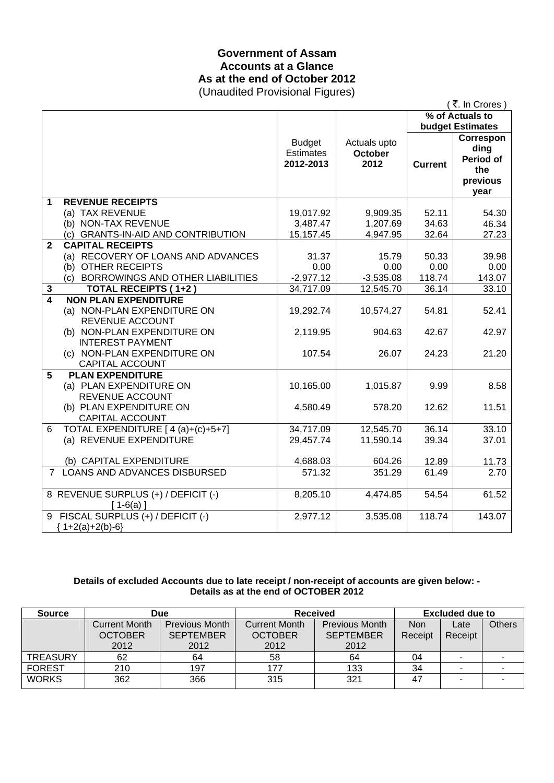### **Government of Assam Accounts at a Glance As at the end of October 2012**  (Unaudited Provisional Figures)

|              |                                                                               |                                                |                                        |                | (₹. In Crores)                                                   |
|--------------|-------------------------------------------------------------------------------|------------------------------------------------|----------------------------------------|----------------|------------------------------------------------------------------|
|              |                                                                               |                                                |                                        |                | % of Actuals to                                                  |
|              |                                                                               |                                                |                                        |                | <b>budget Estimates</b>                                          |
|              |                                                                               | <b>Budget</b><br><b>Estimates</b><br>2012-2013 | Actuals upto<br><b>October</b><br>2012 | <b>Current</b> | Correspon<br>ding<br><b>Period of</b><br>the<br>previous<br>vear |
| 1            | <b>REVENUE RECEIPTS</b>                                                       |                                                |                                        |                |                                                                  |
|              | (a) TAX REVENUE                                                               | 19,017.92                                      | 9,909.35                               | 52.11          | 54.30                                                            |
|              | (b) NON-TAX REVENUE                                                           | 3,487.47                                       | 1,207.69                               | 34.63          | 46.34                                                            |
|              | (c) GRANTS-IN-AID AND CONTRIBUTION                                            | 15,157.45                                      | 4,947.95                               | 32.64          | 27.23                                                            |
| $\mathbf{2}$ | <b>CAPITAL RECEIPTS</b>                                                       |                                                |                                        |                |                                                                  |
|              | (a) RECOVERY OF LOANS AND ADVANCES                                            | 31.37                                          | 15.79                                  | 50.33          | 39.98                                                            |
|              | (b) OTHER RECEIPTS                                                            | 0.00                                           | 0.00                                   | 0.00           | 0.00                                                             |
|              | (c) BORROWINGS AND OTHER LIABILITIES                                          | $-2,977.12$                                    | $-3,535.08$                            | 118.74         | 143.07                                                           |
| 3            | <b>TOTAL RECEIPTS (1+2)</b>                                                   | 34,717.09                                      | 12,545.70                              | 36.14          | 33.10                                                            |
| 4            | <b>NON PLAN EXPENDITURE</b><br>(a) NON-PLAN EXPENDITURE ON<br>REVENUE ACCOUNT | 19,292.74                                      | 10,574.27                              | 54.81          | 52.41                                                            |
|              | (b) NON-PLAN EXPENDITURE ON<br><b>INTEREST PAYMENT</b>                        | 2,119.95                                       | 904.63                                 | 42.67          | 42.97                                                            |
|              | (c) NON-PLAN EXPENDITURE ON<br><b>CAPITAL ACCOUNT</b>                         | 107.54                                         | 26.07                                  | 24.23          | 21.20                                                            |
| 5            | <b>PLAN EXPENDITURE</b><br>(a) PLAN EXPENDITURE ON<br>REVENUE ACCOUNT         | 10,165.00                                      | 1,015.87                               | 9.99           | 8.58                                                             |
|              | (b) PLAN EXPENDITURE ON<br>CAPITAL ACCOUNT                                    | 4,580.49                                       | 578.20                                 | 12.62          | 11.51                                                            |
| 6            | TOTAL EXPENDITURE [4(a)+(c)+5+7]<br>(a) REVENUE EXPENDITURE                   | 34,717.09<br>29,457.74                         | 12,545.70<br>11,590.14                 | 36.14<br>39.34 | 33.10<br>37.01                                                   |
|              | (b) CAPITAL EXPENDITURE                                                       | 4,688.03                                       | 604.26                                 | 12.89          | 11.73                                                            |
|              | 7 LOANS AND ADVANCES DISBURSED                                                | 571.32                                         | 351.29                                 | 61.49          | 2.70                                                             |
|              | 8 REVENUE SURPLUS (+) / DEFICIT (-)<br>$[1-6(a)]$                             | 8,205.10                                       | 4,474.85                               | 54.54          | 61.52                                                            |
|              | 9 FISCAL SURPLUS (+) / DEFICIT (-)<br>${1+2(a)+2(b)-6}$                       | 2,977.12                                       | 3,535.08                               | 118.74         | 143.07                                                           |

### **Details of excluded Accounts due to late receipt / non-receipt of accounts are given below: - Details as at the end of OCTOBER 2012**

| <b>Source</b>   | Due                                    |                                           | <b>Received</b>                        |                                           | <b>Excluded due to</b> |                          |               |
|-----------------|----------------------------------------|-------------------------------------------|----------------------------------------|-------------------------------------------|------------------------|--------------------------|---------------|
|                 | <b>Current Month</b><br><b>OCTOBER</b> | <b>Previous Month</b><br><b>SEPTEMBER</b> | <b>Current Month</b><br><b>OCTOBER</b> | <b>Previous Month</b><br><b>SEPTEMBER</b> | <b>Non</b><br>Receipt  | Late<br>Receipt          | <b>Others</b> |
|                 | 2012                                   | 2012                                      | 2012                                   | 2012                                      |                        |                          |               |
| <b>TREASURY</b> | 62                                     | 64                                        | 58                                     | 64                                        | 04                     |                          |               |
| <b>FOREST</b>   | 210                                    | 197                                       | 177                                    | 133                                       | 34                     | $\overline{\phantom{a}}$ |               |
| <b>WORKS</b>    | 362                                    | 366                                       | 315                                    | 321                                       | 47                     |                          |               |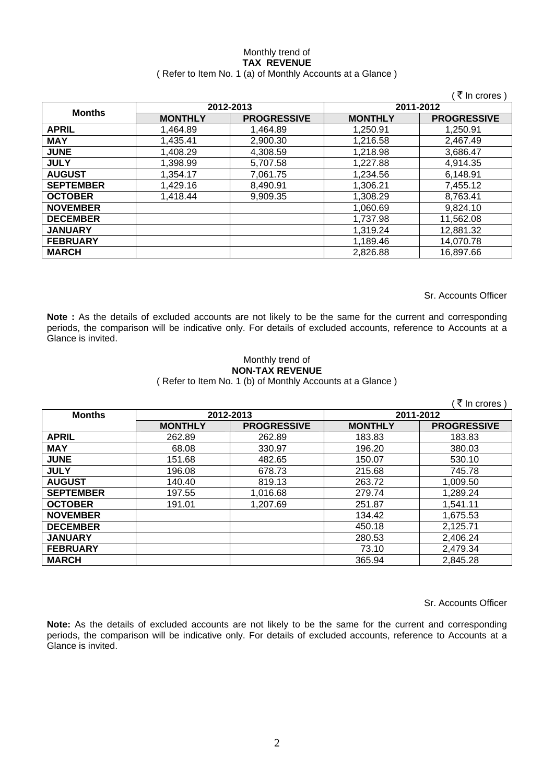#### Monthly trend of **TAX REVENUE**  ( Refer to Item No. 1 (a) of Monthly Accounts at a Glance )

|                  |                |                    |                | ₹ In crores )      |
|------------------|----------------|--------------------|----------------|--------------------|
| <b>Months</b>    | 2012-2013      |                    | 2011-2012      |                    |
|                  | <b>MONTHLY</b> | <b>PROGRESSIVE</b> | <b>MONTHLY</b> | <b>PROGRESSIVE</b> |
| <b>APRIL</b>     | 1,464.89       | 1.464.89           | 1.250.91       | 1.250.91           |
| <b>MAY</b>       | 1,435.41       | 2.900.30           | 1.216.58       | 2.467.49           |
| <b>JUNE</b>      | 1,408.29       | 4,308.59           | 1,218.98       | 3,686.47           |
| <b>JULY</b>      | 1,398.99       | 5,707.58           | 1,227.88       | 4,914.35           |
| <b>AUGUST</b>    | 1,354.17       | 7,061.75           | 1,234.56       | 6,148.91           |
| <b>SEPTEMBER</b> | 1,429.16       | 8,490.91           | 1,306.21       | 7,455.12           |
| <b>OCTOBER</b>   | 1,418.44       | 9,909.35           | 1,308.29       | 8,763.41           |
| <b>NOVEMBER</b>  |                |                    | 1,060.69       | 9.824.10           |
| <b>DECEMBER</b>  |                |                    | 1,737.98       | 11,562.08          |
| <b>JANUARY</b>   |                |                    | 1,319.24       | 12,881.32          |
| <b>FEBRUARY</b>  |                |                    | 1,189.46       | 14,070.78          |
| <b>MARCH</b>     |                |                    | 2,826.88       | 16,897.66          |

Sr. Accounts Officer

**Note :** As the details of excluded accounts are not likely to be the same for the current and corresponding periods, the comparison will be indicative only. For details of excluded accounts, reference to Accounts at a Glance is invited.

### Monthly trend of **NON-TAX REVENUE**  ( Refer to Item No. 1 (b) of Monthly Accounts at a Glance )

|                  |                |                    |                | ₹ In crores        |
|------------------|----------------|--------------------|----------------|--------------------|
| <b>Months</b>    |                | 2012-2013          | 2011-2012      |                    |
|                  | <b>MONTHLY</b> | <b>PROGRESSIVE</b> | <b>MONTHLY</b> | <b>PROGRESSIVE</b> |
| <b>APRIL</b>     | 262.89         | 262.89             | 183.83         | 183.83             |
| <b>MAY</b>       | 68.08          | 330.97             | 196.20         | 380.03             |
| <b>JUNE</b>      | 151.68         | 482.65             | 150.07         | 530.10             |
| <b>JULY</b>      | 196.08         | 678.73             | 215.68         | 745.78             |
| <b>AUGUST</b>    | 140.40         | 819.13             | 263.72         | 1,009.50           |
| <b>SEPTEMBER</b> | 197.55         | 1,016.68           | 279.74         | 1,289.24           |
| <b>OCTOBER</b>   | 191.01         | 1,207.69           | 251.87         | 1,541.11           |
| <b>NOVEMBER</b>  |                |                    | 134.42         | 1,675.53           |
| <b>DECEMBER</b>  |                |                    | 450.18         | 2,125.71           |
| <b>JANUARY</b>   |                |                    | 280.53         | 2,406.24           |
| <b>FEBRUARY</b>  |                |                    | 73.10          | 2,479.34           |
| <b>MARCH</b>     |                |                    | 365.94         | 2,845.28           |

Sr. Accounts Officer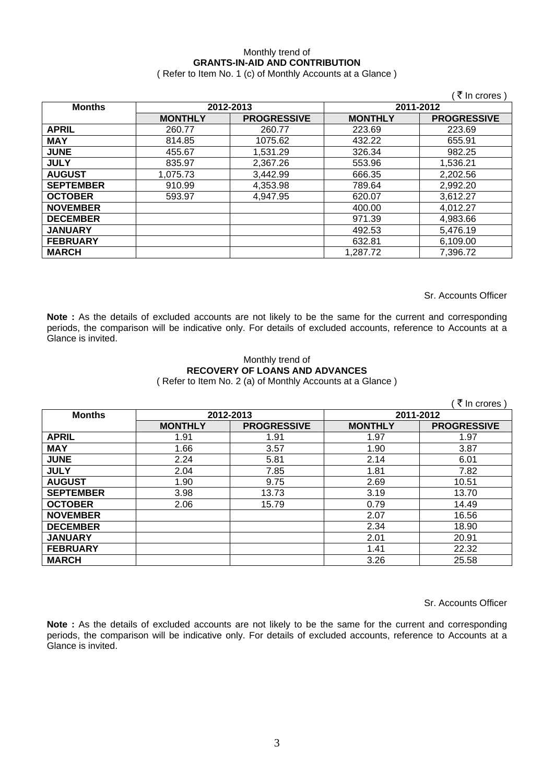### Monthly trend of **GRANTS-IN-AID AND CONTRIBUTION**

( Refer to Item No. 1 (c) of Monthly Accounts at a Glance )

|                  |                |                    |                | ∶₹ In crores )     |
|------------------|----------------|--------------------|----------------|--------------------|
| <b>Months</b>    | 2012-2013      |                    |                | 2011-2012          |
|                  | <b>MONTHLY</b> | <b>PROGRESSIVE</b> | <b>MONTHLY</b> | <b>PROGRESSIVE</b> |
| <b>APRIL</b>     | 260.77         | 260.77             | 223.69         | 223.69             |
| <b>MAY</b>       | 814.85         | 1075.62            | 432.22         | 655.91             |
| <b>JUNE</b>      | 455.67         | 1,531.29           | 326.34         | 982.25             |
| <b>JULY</b>      | 835.97         | 2,367.26           | 553.96         | 1,536.21           |
| <b>AUGUST</b>    | 1,075.73       | 3,442.99           | 666.35         | 2,202.56           |
| <b>SEPTEMBER</b> | 910.99         | 4,353.98           | 789.64         | 2,992.20           |
| <b>OCTOBER</b>   | 593.97         | 4,947.95           | 620.07         | 3,612.27           |
| <b>NOVEMBER</b>  |                |                    | 400.00         | 4,012.27           |
| <b>DECEMBER</b>  |                |                    | 971.39         | 4,983.66           |
| <b>JANUARY</b>   |                |                    | 492.53         | 5,476.19           |
| <b>FEBRUARY</b>  |                |                    | 632.81         | 6,109.00           |
| <b>MARCH</b>     |                |                    | 1,287.72       | 7,396.72           |

Sr. Accounts Officer

**Note :** As the details of excluded accounts are not likely to be the same for the current and corresponding periods, the comparison will be indicative only. For details of excluded accounts, reference to Accounts at a Glance is invited.

### Monthly trend of **RECOVERY OF LOANS AND ADVANCES**  ( Refer to Item No. 2 (a) of Monthly Accounts at a Glance )

|                  |                |                    |                | ₹ In crores        |
|------------------|----------------|--------------------|----------------|--------------------|
| <b>Months</b>    |                | 2012-2013          | 2011-2012      |                    |
|                  | <b>MONTHLY</b> | <b>PROGRESSIVE</b> | <b>MONTHLY</b> | <b>PROGRESSIVE</b> |
| <b>APRIL</b>     | 1.91           | 1.91               | 1.97           | 1.97               |
| <b>MAY</b>       | 1.66           | 3.57               | 1.90           | 3.87               |
| <b>JUNE</b>      | 2.24           | 5.81               | 2.14           | 6.01               |
| <b>JULY</b>      | 2.04           | 7.85               | 1.81           | 7.82               |
| <b>AUGUST</b>    | 1.90           | 9.75               | 2.69           | 10.51              |
| <b>SEPTEMBER</b> | 3.98           | 13.73              | 3.19           | 13.70              |
| <b>OCTOBER</b>   | 2.06           | 15.79              | 0.79           | 14.49              |
| <b>NOVEMBER</b>  |                |                    | 2.07           | 16.56              |
| <b>DECEMBER</b>  |                |                    | 2.34           | 18.90              |
| <b>JANUARY</b>   |                |                    | 2.01           | 20.91              |
| <b>FEBRUARY</b>  |                |                    | 1.41           | 22.32              |
| <b>MARCH</b>     |                |                    | 3.26           | 25.58              |

Sr. Accounts Officer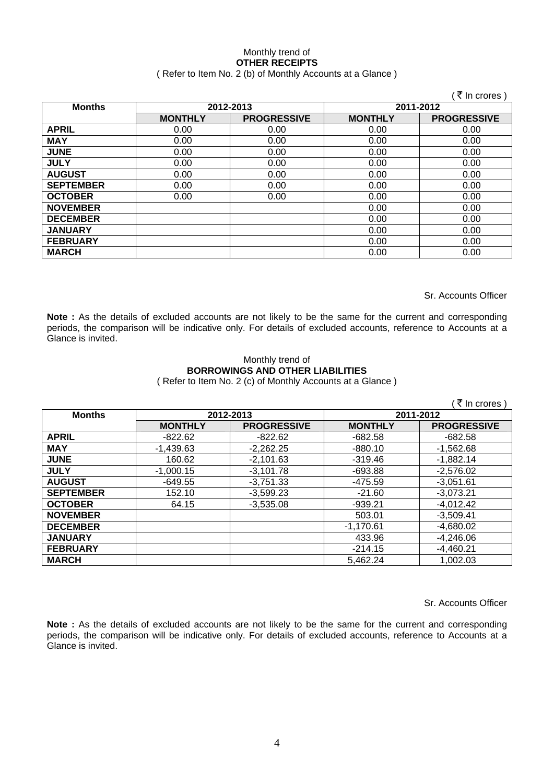### Monthly trend of **OTHER RECEIPTS**  ( Refer to Item No. 2 (b) of Monthly Accounts at a Glance )

|                  |                |                    |                | ₹ In crores )      |
|------------------|----------------|--------------------|----------------|--------------------|
| <b>Months</b>    | 2012-2013      |                    | 2011-2012      |                    |
|                  | <b>MONTHLY</b> | <b>PROGRESSIVE</b> | <b>MONTHLY</b> | <b>PROGRESSIVE</b> |
| <b>APRIL</b>     | 0.00           | 0.00               | 0.00           | 0.00               |
| <b>MAY</b>       | 0.00           | 0.00               | 0.00           | 0.00               |
| <b>JUNE</b>      | 0.00           | 0.00               | 0.00           | 0.00               |
| <b>JULY</b>      | 0.00           | 0.00               | 0.00           | 0.00               |
| <b>AUGUST</b>    | 0.00           | 0.00               | 0.00           | 0.00               |
| <b>SEPTEMBER</b> | 0.00           | 0.00               | 0.00           | 0.00               |
| <b>OCTOBER</b>   | 0.00           | 0.00               | 0.00           | 0.00               |
| <b>NOVEMBER</b>  |                |                    | 0.00           | 0.00               |
| <b>DECEMBER</b>  |                |                    | 0.00           | 0.00               |
| <b>JANUARY</b>   |                |                    | 0.00           | 0.00               |
| <b>FEBRUARY</b>  |                |                    | 0.00           | 0.00               |
| <b>MARCH</b>     |                |                    | 0.00           | 0.00               |

Sr. Accounts Officer

**Note :** As the details of excluded accounts are not likely to be the same for the current and corresponding periods, the comparison will be indicative only. For details of excluded accounts, reference to Accounts at a Glance is invited.

### Monthly trend of **BORROWINGS AND OTHER LIABILITIES**  ( Refer to Item No. 2 (c) of Monthly Accounts at a Glance )

|                  |                |                    |                | ₹ In crores        |
|------------------|----------------|--------------------|----------------|--------------------|
| <b>Months</b>    |                | 2012-2013          | 2011-2012      |                    |
|                  | <b>MONTHLY</b> | <b>PROGRESSIVE</b> | <b>MONTHLY</b> | <b>PROGRESSIVE</b> |
| <b>APRIL</b>     | $-822.62$      | $-822.62$          | $-682.58$      | $-682.58$          |
| <b>MAY</b>       | $-1,439.63$    | $-2,262.25$        | $-880.10$      | $-1,562.68$        |
| <b>JUNE</b>      | 160.62         | $-2,101.63$        | $-319.46$      | $-1.882.14$        |
| <b>JULY</b>      | $-1,000.15$    | $-3,101.78$        | $-693.88$      | $-2,576.02$        |
| <b>AUGUST</b>    | $-649.55$      | $-3,751.33$        | -475.59        | $-3,051.61$        |
| <b>SEPTEMBER</b> | 152.10         | $-3,599.23$        | $-21.60$       | $-3,073.21$        |
| <b>OCTOBER</b>   | 64.15          | $-3.535.08$        | $-939.21$      | $-4.012.42$        |
| <b>NOVEMBER</b>  |                |                    | 503.01         | $-3,509.41$        |
| <b>DECEMBER</b>  |                |                    | $-1,170.61$    | $-4,680.02$        |
| <b>JANUARY</b>   |                |                    | 433.96         | $-4,246.06$        |
| <b>FEBRUARY</b>  |                |                    | $-214.15$      | $-4,460.21$        |
| <b>MARCH</b>     |                |                    | 5.462.24       | 1,002.03           |

Sr. Accounts Officer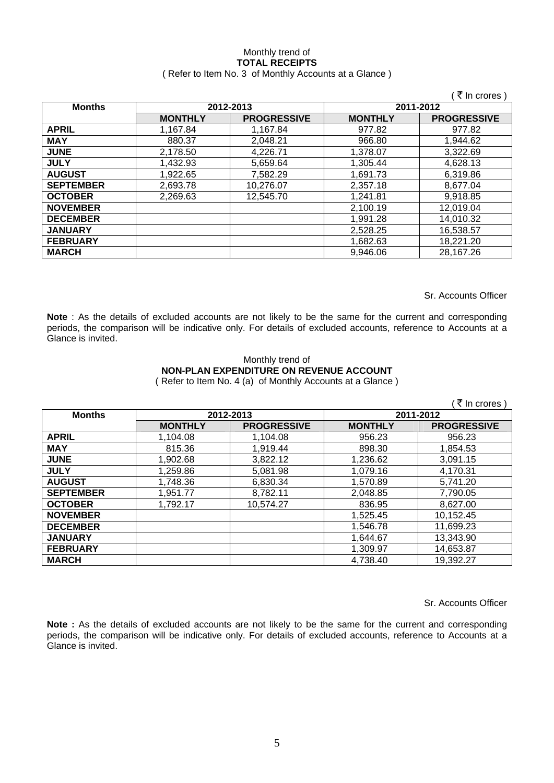#### Monthly trend of **TOTAL RECEIPTS**  ( Refer to Item No. 3 of Monthly Accounts at a Glance )

|                  |                |                    |                | ₹ In crores        |
|------------------|----------------|--------------------|----------------|--------------------|
| <b>Months</b>    | 2012-2013      |                    |                | 2011-2012          |
|                  | <b>MONTHLY</b> | <b>PROGRESSIVE</b> | <b>MONTHLY</b> | <b>PROGRESSIVE</b> |
| <b>APRIL</b>     | 1,167.84       | 1,167.84           | 977.82         | 977.82             |
| <b>MAY</b>       | 880.37         | 2,048.21           | 966.80         | 1.944.62           |
| <b>JUNE</b>      | 2,178.50       | 4,226.71           | 1,378.07       | 3,322.69           |
| <b>JULY</b>      | 1,432.93       | 5,659.64           | 1,305.44       | 4,628.13           |
| <b>AUGUST</b>    | 1,922.65       | 7,582.29           | 1,691.73       | 6,319.86           |
| <b>SEPTEMBER</b> | 2,693.78       | 10,276.07          | 2,357.18       | 8,677.04           |
| <b>OCTOBER</b>   | 2,269.63       | 12,545.70          | 1,241.81       | 9,918.85           |
| <b>NOVEMBER</b>  |                |                    | 2,100.19       | 12,019.04          |
| <b>DECEMBER</b>  |                |                    | 1,991.28       | 14,010.32          |
| <b>JANUARY</b>   |                |                    | 2,528.25       | 16,538.57          |
| <b>FEBRUARY</b>  |                |                    | 1,682.63       | 18,221.20          |
| <b>MARCH</b>     |                |                    | 9,946.06       | 28,167.26          |

Sr. Accounts Officer

**Note** : As the details of excluded accounts are not likely to be the same for the current and corresponding periods, the comparison will be indicative only. For details of excluded accounts, reference to Accounts at a Glance is invited.

### Monthly trend of **NON-PLAN EXPENDITURE ON REVENUE ACCOUNT**  ( Refer to Item No. 4 (a) of Monthly Accounts at a Glance )

|                  |                |                    |                | ₹ In crores        |
|------------------|----------------|--------------------|----------------|--------------------|
| <b>Months</b>    |                | 2012-2013          |                | 2011-2012          |
|                  | <b>MONTHLY</b> | <b>PROGRESSIVE</b> | <b>MONTHLY</b> | <b>PROGRESSIVE</b> |
| <b>APRIL</b>     | 1,104.08       | 1,104.08           | 956.23         | 956.23             |
| <b>MAY</b>       | 815.36         | 1,919.44           | 898.30         | 1,854.53           |
| <b>JUNE</b>      | 1,902.68       | 3,822.12           | 1,236.62       | 3,091.15           |
| <b>JULY</b>      | 1,259.86       | 5,081.98           | 1,079.16       | 4,170.31           |
| <b>AUGUST</b>    | 1,748.36       | 6,830.34           | 1,570.89       | 5,741.20           |
| <b>SEPTEMBER</b> | 1.951.77       | 8,782.11           | 2,048.85       | 7,790.05           |
| <b>OCTOBER</b>   | 1.792.17       | 10,574.27          | 836.95         | 8,627.00           |
| <b>NOVEMBER</b>  |                |                    | 1,525.45       | 10,152.45          |
| <b>DECEMBER</b>  |                |                    | 1,546.78       | 11,699.23          |
| <b>JANUARY</b>   |                |                    | 1,644.67       | 13,343.90          |
| <b>FEBRUARY</b>  |                |                    | 1,309.97       | 14,653.87          |
| <b>MARCH</b>     |                |                    | 4,738.40       | 19,392.27          |

Sr. Accounts Officer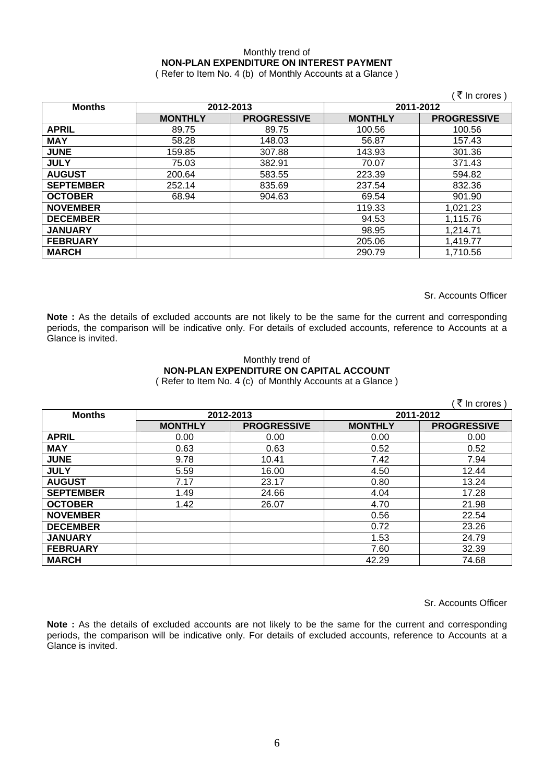### Monthly trend of **NON-PLAN EXPENDITURE ON INTEREST PAYMENT**

( Refer to Item No. 4 (b) of Monthly Accounts at a Glance )

|                            |                |                    |                | ∶ ₹ In crores )    |
|----------------------------|----------------|--------------------|----------------|--------------------|
| <b>Months</b><br>2012-2013 |                | 2011-2012          |                |                    |
|                            | <b>MONTHLY</b> | <b>PROGRESSIVE</b> | <b>MONTHLY</b> | <b>PROGRESSIVE</b> |
| <b>APRIL</b>               | 89.75          | 89.75              | 100.56         | 100.56             |
| <b>MAY</b>                 | 58.28          | 148.03             | 56.87          | 157.43             |
| <b>JUNE</b>                | 159.85         | 307.88             | 143.93         | 301.36             |
| <b>JULY</b>                | 75.03          | 382.91             | 70.07          | 371.43             |
| <b>AUGUST</b>              | 200.64         | 583.55             | 223.39         | 594.82             |
| <b>SEPTEMBER</b>           | 252.14         | 835.69             | 237.54         | 832.36             |
| <b>OCTOBER</b>             | 68.94          | 904.63             | 69.54          | 901.90             |
| <b>NOVEMBER</b>            |                |                    | 119.33         | 1,021.23           |
| <b>DECEMBER</b>            |                |                    | 94.53          | 1,115.76           |
| <b>JANUARY</b>             |                |                    | 98.95          | 1,214.71           |
| <b>FEBRUARY</b>            |                |                    | 205.06         | 1,419.77           |
| <b>MARCH</b>               |                |                    | 290.79         | 1,710.56           |

Sr. Accounts Officer

**Note :** As the details of excluded accounts are not likely to be the same for the current and corresponding periods, the comparison will be indicative only. For details of excluded accounts, reference to Accounts at a Glance is invited.

### Monthly trend of **NON-PLAN EXPENDITURE ON CAPITAL ACCOUNT**  ( Refer to Item No. 4 (c) of Monthly Accounts at a Glance )

|                  |                |                    |                | ₹ In crores        |
|------------------|----------------|--------------------|----------------|--------------------|
| <b>Months</b>    |                | 2012-2013          | 2011-2012      |                    |
|                  | <b>MONTHLY</b> | <b>PROGRESSIVE</b> | <b>MONTHLY</b> | <b>PROGRESSIVE</b> |
| <b>APRIL</b>     | 0.00           | 0.00               | 0.00           | 0.00               |
| <b>MAY</b>       | 0.63           | 0.63               | 0.52           | 0.52               |
| <b>JUNE</b>      | 9.78           | 10.41              | 7.42           | 7.94               |
| <b>JULY</b>      | 5.59           | 16.00              | 4.50           | 12.44              |
| <b>AUGUST</b>    | 7.17           | 23.17              | 0.80           | 13.24              |
| <b>SEPTEMBER</b> | 1.49           | 24.66              | 4.04           | 17.28              |
| <b>OCTOBER</b>   | 1.42           | 26.07              | 4.70           | 21.98              |
| <b>NOVEMBER</b>  |                |                    | 0.56           | 22.54              |
| <b>DECEMBER</b>  |                |                    | 0.72           | 23.26              |
| <b>JANUARY</b>   |                |                    | 1.53           | 24.79              |
| <b>FEBRUARY</b>  |                |                    | 7.60           | 32.39              |
| <b>MARCH</b>     |                |                    | 42.29          | 74.68              |

Sr. Accounts Officer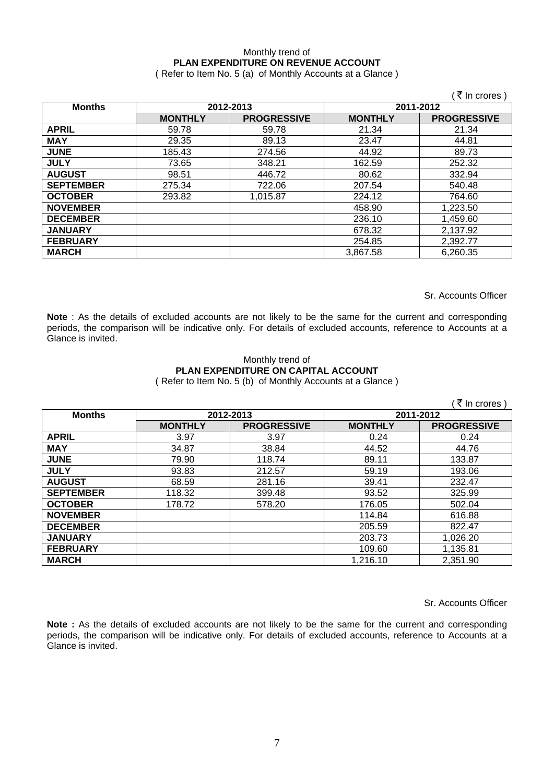### Monthly trend of **PLAN EXPENDITURE ON REVENUE ACCOUNT**

( Refer to Item No. 5 (a) of Monthly Accounts at a Glance )

|                  |                |                    |                | ं₹ In crores )     |
|------------------|----------------|--------------------|----------------|--------------------|
| <b>Months</b>    |                | 2012-2013          | 2011-2012      |                    |
|                  | <b>MONTHLY</b> | <b>PROGRESSIVE</b> | <b>MONTHLY</b> | <b>PROGRESSIVE</b> |
| <b>APRIL</b>     | 59.78          | 59.78              | 21.34          | 21.34              |
| <b>MAY</b>       | 29.35          | 89.13              | 23.47          | 44.81              |
| <b>JUNE</b>      | 185.43         | 274.56             | 44.92          | 89.73              |
| <b>JULY</b>      | 73.65          | 348.21             | 162.59         | 252.32             |
| <b>AUGUST</b>    | 98.51          | 446.72             | 80.62          | 332.94             |
| <b>SEPTEMBER</b> | 275.34         | 722.06             | 207.54         | 540.48             |
| <b>OCTOBER</b>   | 293.82         | 1,015.87           | 224.12         | 764.60             |
| <b>NOVEMBER</b>  |                |                    | 458.90         | 1,223.50           |
| <b>DECEMBER</b>  |                |                    | 236.10         | 1,459.60           |
| <b>JANUARY</b>   |                |                    | 678.32         | 2,137.92           |
| <b>FEBRUARY</b>  |                |                    | 254.85         | 2,392.77           |
| <b>MARCH</b>     |                |                    | 3,867.58       | 6,260.35           |

Sr. Accounts Officer

**Note** : As the details of excluded accounts are not likely to be the same for the current and corresponding periods, the comparison will be indicative only. For details of excluded accounts, reference to Accounts at a Glance is invited.

### Monthly trend of **PLAN EXPENDITURE ON CAPITAL ACCOUNT**  ( Refer to Item No. 5 (b) of Monthly Accounts at a Glance )

|                  |                |                        |                | ₹ In crores        |
|------------------|----------------|------------------------|----------------|--------------------|
| <b>Months</b>    |                | 2012-2013<br>2011-2012 |                |                    |
|                  | <b>MONTHLY</b> | <b>PROGRESSIVE</b>     | <b>MONTHLY</b> | <b>PROGRESSIVE</b> |
| <b>APRIL</b>     | 3.97           | 3.97                   | 0.24           | 0.24               |
| <b>MAY</b>       | 34.87          | 38.84                  | 44.52          | 44.76              |
| <b>JUNE</b>      | 79.90          | 118.74                 | 89.11          | 133.87             |
| <b>JULY</b>      | 93.83          | 212.57                 | 59.19          | 193.06             |
| <b>AUGUST</b>    | 68.59          | 281.16                 | 39.41          | 232.47             |
| <b>SEPTEMBER</b> | 118.32         | 399.48                 | 93.52          | 325.99             |
| <b>OCTOBER</b>   | 178.72         | 578.20                 | 176.05         | 502.04             |
| <b>NOVEMBER</b>  |                |                        | 114.84         | 616.88             |
| <b>DECEMBER</b>  |                |                        | 205.59         | 822.47             |
| <b>JANUARY</b>   |                |                        | 203.73         | 1,026.20           |
| <b>FEBRUARY</b>  |                |                        | 109.60         | 1,135.81           |
| <b>MARCH</b>     |                |                        | 1,216.10       | 2,351.90           |

Sr. Accounts Officer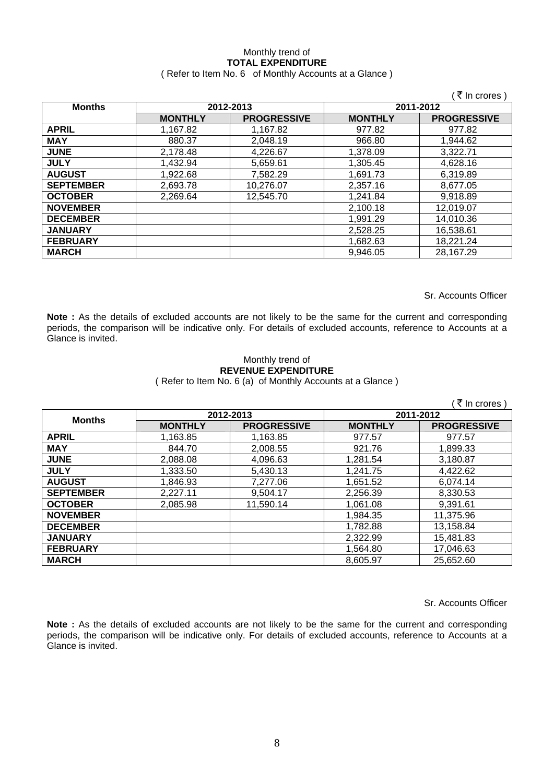### Monthly trend of **TOTAL EXPENDITURE**  ( Refer to Item No. 6 of Monthly Accounts at a Glance )

|                  |                |                    |                | ( ₹ In crores )    |
|------------------|----------------|--------------------|----------------|--------------------|
| <b>Months</b>    | 2012-2013      |                    | 2011-2012      |                    |
|                  | <b>MONTHLY</b> | <b>PROGRESSIVE</b> | <b>MONTHLY</b> | <b>PROGRESSIVE</b> |
| <b>APRIL</b>     | 1,167.82       | 1,167.82           | 977.82         | 977.82             |
| <b>MAY</b>       | 880.37         | 2,048.19           | 966.80         | 1,944.62           |
| <b>JUNE</b>      | 2,178.48       | 4,226.67           | 1,378.09       | 3,322.71           |
| <b>JULY</b>      | 1,432.94       | 5,659.61           | 1,305.45       | 4,628.16           |
| <b>AUGUST</b>    | 1,922.68       | 7,582.29           | 1,691.73       | 6,319.89           |
| <b>SEPTEMBER</b> | 2,693.78       | 10,276.07          | 2,357.16       | 8,677.05           |
| <b>OCTOBER</b>   | 2,269.64       | 12,545.70          | 1,241.84       | 9,918.89           |
| <b>NOVEMBER</b>  |                |                    | 2,100.18       | 12,019.07          |
| <b>DECEMBER</b>  |                |                    | 1,991.29       | 14,010.36          |
| <b>JANUARY</b>   |                |                    | 2,528.25       | 16,538.61          |
| <b>FEBRUARY</b>  |                |                    | 1,682.63       | 18,221.24          |
| <b>MARCH</b>     |                |                    | 9,946.05       | 28,167.29          |

Sr. Accounts Officer

**Note :** As the details of excluded accounts are not likely to be the same for the current and corresponding periods, the comparison will be indicative only. For details of excluded accounts, reference to Accounts at a Glance is invited.

### Monthly trend of **REVENUE EXPENDITURE**  ( Refer to Item No. 6 (a) of Monthly Accounts at a Glance )

|                  |                |                    |                | ₹ In crores        |
|------------------|----------------|--------------------|----------------|--------------------|
| <b>Months</b>    | 2012-2013      |                    | 2011-2012      |                    |
|                  | <b>MONTHLY</b> | <b>PROGRESSIVE</b> | <b>MONTHLY</b> | <b>PROGRESSIVE</b> |
| <b>APRIL</b>     | 1,163.85       | 1,163.85           | 977.57         | 977.57             |
| <b>MAY</b>       | 844.70         | 2,008.55           | 921.76         | 1,899.33           |
| <b>JUNE</b>      | 2,088.08       | 4,096.63           | 1,281.54       | 3,180.87           |
| <b>JULY</b>      | 1,333.50       | 5,430.13           | 1,241.75       | 4,422.62           |
| <b>AUGUST</b>    | 1,846.93       | 7,277.06           | 1,651.52       | 6,074.14           |
| <b>SEPTEMBER</b> | 2,227.11       | 9,504.17           | 2,256.39       | 8,330.53           |
| <b>OCTOBER</b>   | 2,085.98       | 11,590.14          | 1,061.08       | 9.391.61           |
| <b>NOVEMBER</b>  |                |                    | 1,984.35       | 11,375.96          |
| <b>DECEMBER</b>  |                |                    | 1.782.88       | 13,158.84          |
| <b>JANUARY</b>   |                |                    | 2,322.99       | 15,481.83          |
| <b>FEBRUARY</b>  |                |                    | 1,564.80       | 17,046.63          |
| <b>MARCH</b>     |                |                    | 8.605.97       | 25,652.60          |

Sr. Accounts Officer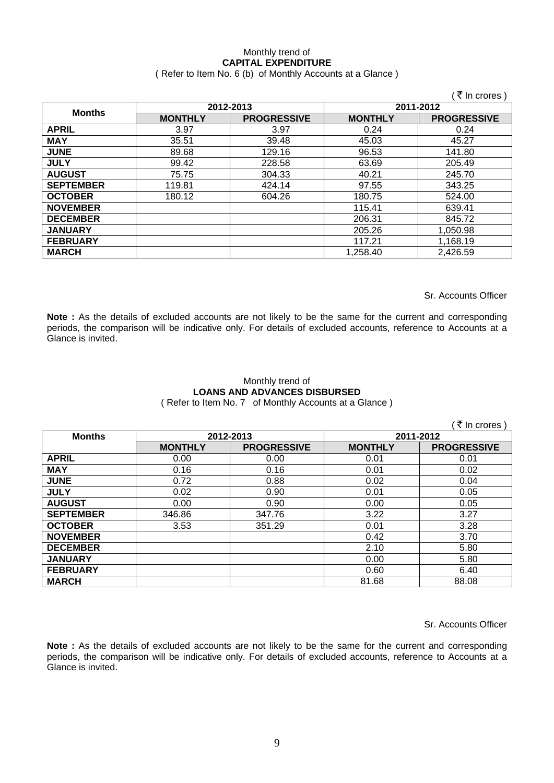## Monthly trend of **CAPITAL EXPENDITURE**

( Refer to Item No. 6 (b) of Monthly Accounts at a Glance )

|                  |                |                    |                | ं₹ In crores )     |
|------------------|----------------|--------------------|----------------|--------------------|
| <b>Months</b>    | 2012-2013      |                    | 2011-2012      |                    |
|                  | <b>MONTHLY</b> | <b>PROGRESSIVE</b> | <b>MONTHLY</b> | <b>PROGRESSIVE</b> |
| <b>APRIL</b>     | 3.97           | 3.97               | 0.24           | 0.24               |
| <b>MAY</b>       | 35.51          | 39.48              | 45.03          | 45.27              |
| <b>JUNE</b>      | 89.68          | 129.16             | 96.53          | 141.80             |
| <b>JULY</b>      | 99.42          | 228.58             | 63.69          | 205.49             |
| <b>AUGUST</b>    | 75.75          | 304.33             | 40.21          | 245.70             |
| <b>SEPTEMBER</b> | 119.81         | 424.14             | 97.55          | 343.25             |
| <b>OCTOBER</b>   | 180.12         | 604.26             | 180.75         | 524.00             |
| <b>NOVEMBER</b>  |                |                    | 115.41         | 639.41             |
| <b>DECEMBER</b>  |                |                    | 206.31         | 845.72             |
| <b>JANUARY</b>   |                |                    | 205.26         | 1,050.98           |
| <b>FEBRUARY</b>  |                |                    | 117.21         | 1,168.19           |
| <b>MARCH</b>     |                |                    | 1,258.40       | 2,426.59           |

Sr. Accounts Officer

**Note :** As the details of excluded accounts are not likely to be the same for the current and corresponding periods, the comparison will be indicative only. For details of excluded accounts, reference to Accounts at a Glance is invited.

### Monthly trend of **LOANS AND ADVANCES DISBURSED**  ( Refer to Item No. 7 of Monthly Accounts at a Glance )

|                  |                        |                    |                | ₹ In crores )      |
|------------------|------------------------|--------------------|----------------|--------------------|
| <b>Months</b>    | 2012-2013<br>2011-2012 |                    |                |                    |
|                  | <b>MONTHLY</b>         | <b>PROGRESSIVE</b> | <b>MONTHLY</b> | <b>PROGRESSIVE</b> |
| <b>APRIL</b>     | 0.00                   | 0.00               | 0.01           | 0.01               |
| <b>MAY</b>       | 0.16                   | 0.16               | 0.01           | 0.02               |
| <b>JUNE</b>      | 0.72                   | 0.88               | 0.02           | 0.04               |
| <b>JULY</b>      | 0.02                   | 0.90               | 0.01           | 0.05               |
| <b>AUGUST</b>    | 0.00                   | 0.90               | 0.00           | 0.05               |
| <b>SEPTEMBER</b> | 346.86                 | 347.76             | 3.22           | 3.27               |
| <b>OCTOBER</b>   | 3.53                   | 351.29             | 0.01           | 3.28               |
| <b>NOVEMBER</b>  |                        |                    | 0.42           | 3.70               |
| <b>DECEMBER</b>  |                        |                    | 2.10           | 5.80               |
| <b>JANUARY</b>   |                        |                    | 0.00           | 5.80               |
| <b>FEBRUARY</b>  |                        |                    | 0.60           | 6.40               |
| <b>MARCH</b>     |                        |                    | 81.68          | 88.08              |

Sr. Accounts Officer